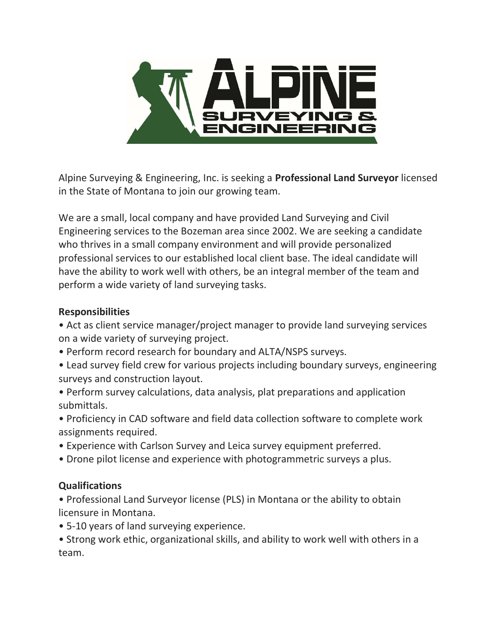

Alpine Surveying & Engineering, Inc. is seeking a Professional Land Surveyor licensed in the State of Montana to join our growing team.

We are a small, local company and have provided Land Surveying and Civil Engineering services to the Bozeman area since 2002. We are seeking a candidate who thrives in a small company environment and will provide personalized professional services to our established local client base. The ideal candidate will have the ability to work well with others, be an integral member of the team and perform a wide variety of land surveying tasks.

## Responsibilities

• Act as client service manager/project manager to provide land surveying services on a wide variety of surveying project.

- Perform record research for boundary and ALTA/NSPS surveys.
- Lead survey field crew for various projects including boundary surveys, engineering surveys and construction layout.
- Perform survey calculations, data analysis, plat preparations and application submittals.
- Proficiency in CAD software and field data collection software to complete work assignments required.
- Experience with Carlson Survey and Leica survey equipment preferred.
- Drone pilot license and experience with photogrammetric surveys a plus.

## Qualifications

• Professional Land Surveyor license (PLS) in Montana or the ability to obtain licensure in Montana.

• 5-10 years of land surveying experience.

• Strong work ethic, organizational skills, and ability to work well with others in a team.